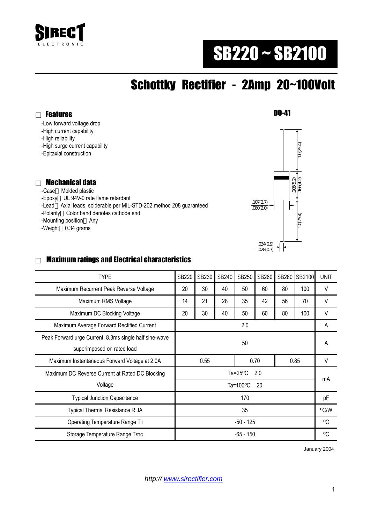

# SB220 ~ SB2100

## Schottky Rectifier - 2Amp 20~100Volt

Features

-Low forward voltage drop

-High current capability

-High reliability

-High surge current capability

-Epitaxial construction

#### Mechanical data

 -Case Molded plastic -Epoxy UL 94V-0 rate flame retardant -Lead Axial leads, solderable per MIL-STD-202,method 208 guaranteed -Polarity Color band denotes cathode end -Mounting position Any -Weight 0.34 grams



#### Maximum ratings and Electrical characteristics

| <b>SB220</b>              | SB230 | SB240 | <b>SB250</b> | SB260 | SB280 |      | <b>UNIT</b> |
|---------------------------|-------|-------|--------------|-------|-------|------|-------------|
| 20                        | 30    | 40    | 50           | 60    | 80    | 100  | V           |
| 14                        | 21    | 28    | 35           | 42    | 56    | 70   | V           |
| 20                        | 30    | 40    | 50           | 60    | 80    | 100  | V           |
| 2.0                       |       |       |              |       |       | A    |             |
| 50                        |       |       |              |       |       | A    |             |
| 0.55                      |       | 0.70  |              | 0.85  |       | V    |             |
| Ta= $25^{\circ}$ C<br>2.0 |       |       |              |       |       | mA   |             |
| Ta=100 $\degree$ C<br>20  |       |       |              |       |       |      |             |
| 170                       |       |       |              |       |       | pF   |             |
| 35                        |       |       |              |       |       | °C/W |             |
| $-50 - 125$               |       |       |              |       |       | °C   |             |
| -65 - 150                 |       |       |              |       |       | °C   |             |
|                           |       |       |              |       |       |      | SB2100      |

January 2004